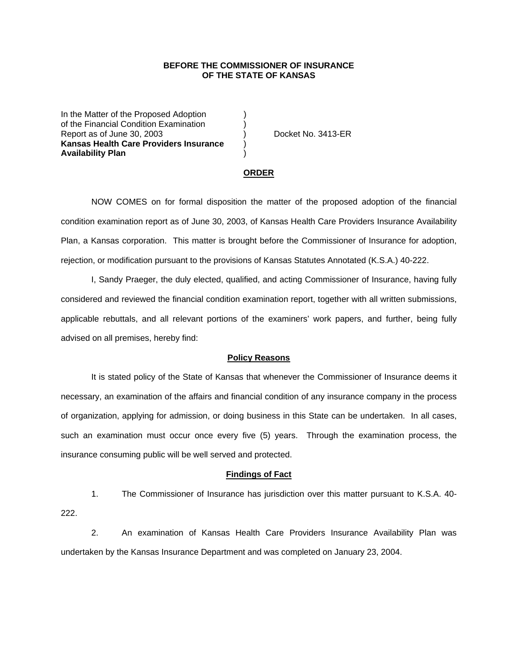# **BEFORE THE COMMISSIONER OF INSURANCE OF THE STATE OF KANSAS**

In the Matter of the Proposed Adoption of the Financial Condition Examination ) Report as of June 30, 2003 (a) Docket No. 3413-ER **Kansas Health Care Providers Insurance** ) **Availability Plan** )

#### **ORDER**

 NOW COMES on for formal disposition the matter of the proposed adoption of the financial condition examination report as of June 30, 2003, of Kansas Health Care Providers Insurance Availability Plan, a Kansas corporation. This matter is brought before the Commissioner of Insurance for adoption, rejection, or modification pursuant to the provisions of Kansas Statutes Annotated (K.S.A.) 40-222.

 I, Sandy Praeger, the duly elected, qualified, and acting Commissioner of Insurance, having fully considered and reviewed the financial condition examination report, together with all written submissions, applicable rebuttals, and all relevant portions of the examiners' work papers, and further, being fully advised on all premises, hereby find:

## **Policy Reasons**

 It is stated policy of the State of Kansas that whenever the Commissioner of Insurance deems it necessary, an examination of the affairs and financial condition of any insurance company in the process of organization, applying for admission, or doing business in this State can be undertaken. In all cases, such an examination must occur once every five (5) years. Through the examination process, the insurance consuming public will be well served and protected.

### **Findings of Fact**

 1. The Commissioner of Insurance has jurisdiction over this matter pursuant to K.S.A. 40- 222.

 2. An examination of Kansas Health Care Providers Insurance Availability Plan was undertaken by the Kansas Insurance Department and was completed on January 23, 2004.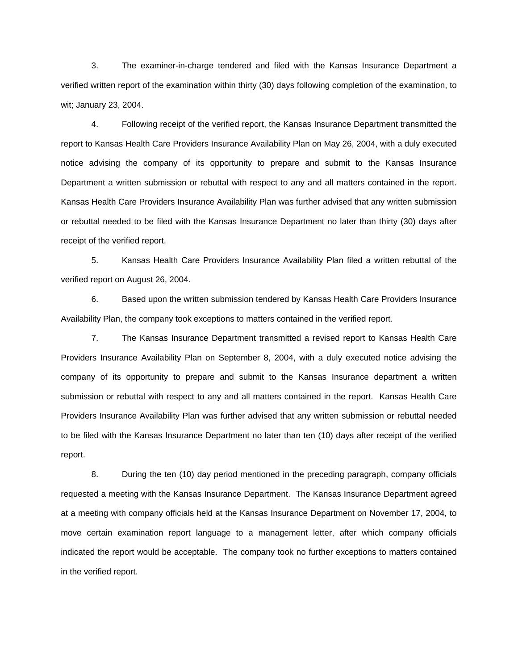3. The examiner-in-charge tendered and filed with the Kansas Insurance Department a verified written report of the examination within thirty (30) days following completion of the examination, to wit; January 23, 2004.

 4. Following receipt of the verified report, the Kansas Insurance Department transmitted the report to Kansas Health Care Providers Insurance Availability Plan on May 26, 2004, with a duly executed notice advising the company of its opportunity to prepare and submit to the Kansas Insurance Department a written submission or rebuttal with respect to any and all matters contained in the report. Kansas Health Care Providers Insurance Availability Plan was further advised that any written submission or rebuttal needed to be filed with the Kansas Insurance Department no later than thirty (30) days after receipt of the verified report.

 5. Kansas Health Care Providers Insurance Availability Plan filed a written rebuttal of the verified report on August 26, 2004.

 6. Based upon the written submission tendered by Kansas Health Care Providers Insurance Availability Plan, the company took exceptions to matters contained in the verified report.

 7. The Kansas Insurance Department transmitted a revised report to Kansas Health Care Providers Insurance Availability Plan on September 8, 2004, with a duly executed notice advising the company of its opportunity to prepare and submit to the Kansas Insurance department a written submission or rebuttal with respect to any and all matters contained in the report. Kansas Health Care Providers Insurance Availability Plan was further advised that any written submission or rebuttal needed to be filed with the Kansas Insurance Department no later than ten (10) days after receipt of the verified report.

 8. During the ten (10) day period mentioned in the preceding paragraph, company officials requested a meeting with the Kansas Insurance Department. The Kansas Insurance Department agreed at a meeting with company officials held at the Kansas Insurance Department on November 17, 2004, to move certain examination report language to a management letter, after which company officials indicated the report would be acceptable. The company took no further exceptions to matters contained in the verified report.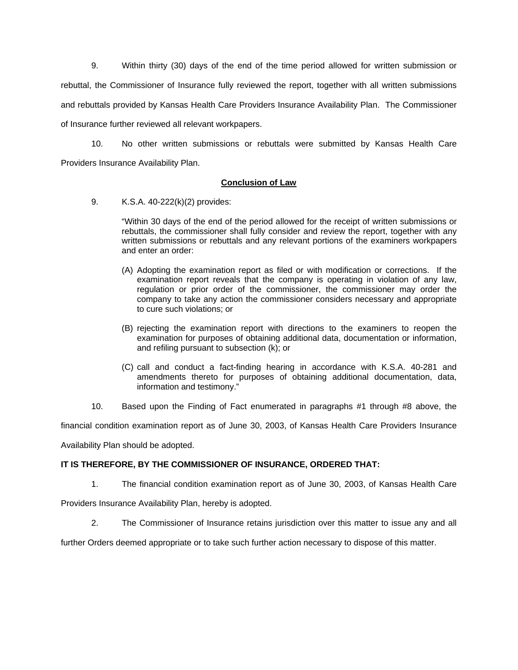9. Within thirty (30) days of the end of the time period allowed for written submission or rebuttal, the Commissioner of Insurance fully reviewed the report, together with all written submissions and rebuttals provided by Kansas Health Care Providers Insurance Availability Plan. The Commissioner of Insurance further reviewed all relevant workpapers.

 10. No other written submissions or rebuttals were submitted by Kansas Health Care Providers Insurance Availability Plan.

# **Conclusion of Law**

9. K.S.A. 40-222(k)(2) provides:

"Within 30 days of the end of the period allowed for the receipt of written submissions or rebuttals, the commissioner shall fully consider and review the report, together with any written submissions or rebuttals and any relevant portions of the examiners workpapers and enter an order:

- (A) Adopting the examination report as filed or with modification or corrections. If the examination report reveals that the company is operating in violation of any law, regulation or prior order of the commissioner, the commissioner may order the company to take any action the commissioner considers necessary and appropriate to cure such violations; or
- (B) rejecting the examination report with directions to the examiners to reopen the examination for purposes of obtaining additional data, documentation or information, and refiling pursuant to subsection (k); or
- (C) call and conduct a fact-finding hearing in accordance with K.S.A. 40-281 and amendments thereto for purposes of obtaining additional documentation, data, information and testimony."
- 10. Based upon the Finding of Fact enumerated in paragraphs #1 through #8 above, the

financial condition examination report as of June 30, 2003, of Kansas Health Care Providers Insurance

Availability Plan should be adopted.

# **IT IS THEREFORE, BY THE COMMISSIONER OF INSURANCE, ORDERED THAT:**

1. The financial condition examination report as of June 30, 2003, of Kansas Health Care

Providers Insurance Availability Plan, hereby is adopted.

2. The Commissioner of Insurance retains jurisdiction over this matter to issue any and all

further Orders deemed appropriate or to take such further action necessary to dispose of this matter.